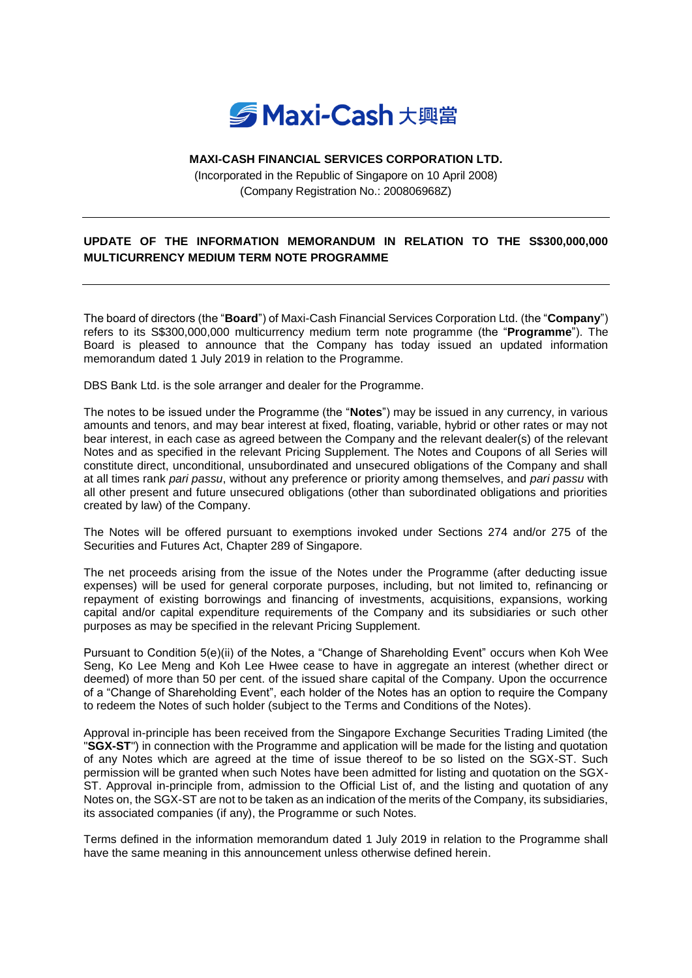

## **MAXI-CASH FINANCIAL SERVICES CORPORATION LTD.**

(Incorporated in the Republic of Singapore on 10 April 2008) (Company Registration No.: 200806968Z)

## **UPDATE OF THE INFORMATION MEMORANDUM IN RELATION TO THE S\$300,000,000 MULTICURRENCY MEDIUM TERM NOTE PROGRAMME**

The board of directors (the "**Board**") of Maxi-Cash Financial Services Corporation Ltd. (the "**Company**") refers to its S\$300,000,000 multicurrency medium term note programme (the "**Programme**"). The Board is pleased to announce that the Company has today issued an updated information memorandum dated 1 July 2019 in relation to the Programme.

DBS Bank Ltd. is the sole arranger and dealer for the Programme.

The notes to be issued under the Programme (the "**Notes**") may be issued in any currency, in various amounts and tenors, and may bear interest at fixed, floating, variable, hybrid or other rates or may not bear interest, in each case as agreed between the Company and the relevant dealer(s) of the relevant Notes and as specified in the relevant Pricing Supplement. The Notes and Coupons of all Series will constitute direct, unconditional, unsubordinated and unsecured obligations of the Company and shall at all times rank *pari passu*, without any preference or priority among themselves, and *pari passu* with all other present and future unsecured obligations (other than subordinated obligations and priorities created by law) of the Company.

The Notes will be offered pursuant to exemptions invoked under Sections 274 and/or 275 of the Securities and Futures Act, Chapter 289 of Singapore.

The net proceeds arising from the issue of the Notes under the Programme (after deducting issue expenses) will be used for general corporate purposes, including, but not limited to, refinancing or repayment of existing borrowings and financing of investments, acquisitions, expansions, working capital and/or capital expenditure requirements of the Company and its subsidiaries or such other purposes as may be specified in the relevant Pricing Supplement.

Pursuant to Condition 5(e)(ii) of the Notes, a "Change of Shareholding Event" occurs when Koh Wee Seng, Ko Lee Meng and Koh Lee Hwee cease to have in aggregate an interest (whether direct or deemed) of more than 50 per cent. of the issued share capital of the Company. Upon the occurrence of a "Change of Shareholding Event", each holder of the Notes has an option to require the Company to redeem the Notes of such holder (subject to the Terms and Conditions of the Notes).

Approval in-principle has been received from the Singapore Exchange Securities Trading Limited (the "**SGX-ST**") in connection with the Programme and application will be made for the listing and quotation of any Notes which are agreed at the time of issue thereof to be so listed on the SGX-ST. Such permission will be granted when such Notes have been admitted for listing and quotation on the SGX-ST. Approval in-principle from, admission to the Official List of, and the listing and quotation of any Notes on, the SGX-ST are not to be taken as an indication of the merits of the Company, its subsidiaries, its associated companies (if any), the Programme or such Notes.

Terms defined in the information memorandum dated 1 July 2019 in relation to the Programme shall have the same meaning in this announcement unless otherwise defined herein.